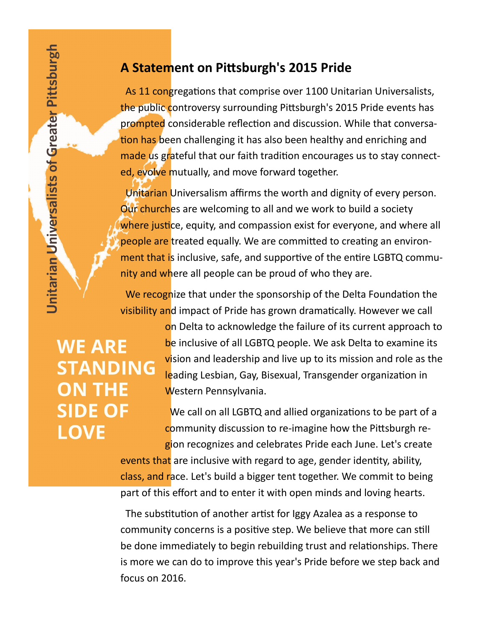## **A Statement on Pittsburgh's 2015 Pride**

 As 11 congregations that comprise over 1100 Unitarian Universalists, the public controversy surrounding Pittsburgh's 2015 Pride events has prompted considerable reflection and discussion. While that conversation has been challenging it has also been healthy and enriching and made us grateful that our faith tradition encourages us to stay connected, evolve mutually, and move forward together.

 Unitarian Universalism affirms the worth and dignity of every person. Our churches are welcoming to all and we work to build a society where justice, equity, and compassion exist for everyone, and where all people are treated equally. We are committed to creating an environment that is inclusive, safe, and supportive of the entire LGBTQ community and where all people can be proud of who they are.

We recognize that under the sponsorship of the Delta Foundation the visibility and impact of Pride has grown dramatically. However we call

**WE ARE STANDING ON THE SIDE OF LOVE** 

on Delta to acknowledge the failure of its current approach to be inclusive of all LGBTQ people. We ask Delta to examine its vision and leadership and live up to its mission and role as the leading Lesbian, Gay, Bisexual, Transgender organization in Western Pennsylvania.

We call on all LGBTQ and allied organizations to be part of a community discussion to re-imagine how the Pittsburgh region recognizes and celebrates Pride each June. Let's create

events that are inclusive with regard to age, gender identity, ability, class, and race. Let's build a bigger tent together. We commit to being part of this effort and to enter it with open minds and loving hearts.

 The substitution of another artist for Iggy Azalea as a response to community concerns is a positive step. We believe that more can still be done immediately to begin rebuilding trust and relationships. There is more we can do to improve this year's Pride before we step back and focus on 2016.